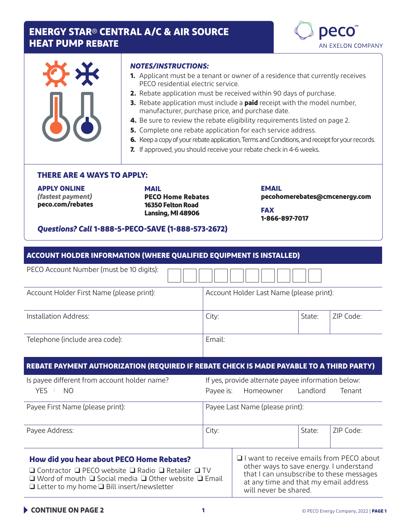## **ENERGY STAR**® **CENTRAL A/C & AIR SOURCE HEAT PUMP REBATE**



| 长 |  |
|---|--|
| I |  |

#### *NOTES/INSTRUCTIONS:*

- **1.** Applicant must be a tenant or owner of a residence that currently receives PECO residential electric service.
- **2.** Rebate application must be received within 90 days of purchase.
- **3.** Rebate application must include a **paid** receipt with the model number, manufacturer, purchase price, and purchase date.
- **4.** Be sure to review the rebate eligibility requirements listed on page 2.
- **5.** Complete one rebate application for each service address.
- **6.** Keep a copy of your rebate application, Terms and Conditions, and receipt for your records.
- **7.** If approved, you should receive your rebate check in 4-6 weeks.

#### **THERE ARE 4 WAYS TO APPLY:**

**APPLY ONLINE**  *(fastest payment)* **peco.com/rebates** 

**MAIL PECO Home Rebates 16350 Felton Road Lansing, MI 48906**

**EMAIL pecohomerebates@cmcenergy.com**

**FAX 1-866-897-7017**

#### *Questions? Call* **1-888-5-PECO-SAVE (1-888-573-2672)**

| <b>ACCOUNT HOLDER INFORMATION (WHERE QUALIFIED EQUIPMENT IS INSTALLED)</b>                                                                                                                                                               |                                          |                                                                                                                                                                                                     |          |           |
|------------------------------------------------------------------------------------------------------------------------------------------------------------------------------------------------------------------------------------------|------------------------------------------|-----------------------------------------------------------------------------------------------------------------------------------------------------------------------------------------------------|----------|-----------|
| PECO Account Number (must be 10 digits):                                                                                                                                                                                                 |                                          |                                                                                                                                                                                                     |          |           |
| Account Holder First Name (please print):                                                                                                                                                                                                | Account Holder Last Name (please print): |                                                                                                                                                                                                     |          |           |
| Installation Address:                                                                                                                                                                                                                    | City:                                    |                                                                                                                                                                                                     | State:   | ZIP Code: |
| Telephone (include area code):                                                                                                                                                                                                           | Email:                                   |                                                                                                                                                                                                     |          |           |
| REBATE PAYMENT AUTHORIZATION (REQUIRED IF REBATE CHECK IS MADE PAYABLE TO A THIRD PARTY)                                                                                                                                                 |                                          |                                                                                                                                                                                                     |          |           |
| Is payee different from account holder name?                                                                                                                                                                                             |                                          | If yes, provide alternate payee information below:                                                                                                                                                  |          |           |
| <b>YES</b><br><b>NO</b>                                                                                                                                                                                                                  | Payee is:                                | Homeowner                                                                                                                                                                                           | Landlord | Tenant    |
| Payee First Name (please print):                                                                                                                                                                                                         | Payee Last Name (please print):          |                                                                                                                                                                                                     |          |           |
| Payee Address:                                                                                                                                                                                                                           | City:                                    |                                                                                                                                                                                                     | State:   | ZIP Code: |
| How did you hear about PECO Home Rebates?<br>□ Contractor □ PECO website □ Radio □ Retailer □ TV<br>$\Box$ Word of mouth $\Box$ Social media $\Box$ Other website $\Box$ Email<br>$\Box$ Letter to my home $\Box$ Bill insert/newsletter |                                          | I I want to receive emails from PECO about<br>other ways to save energy. I understand<br>that I can unsubscribe to these messages<br>at any time and that my email address<br>will never be shared. |          |           |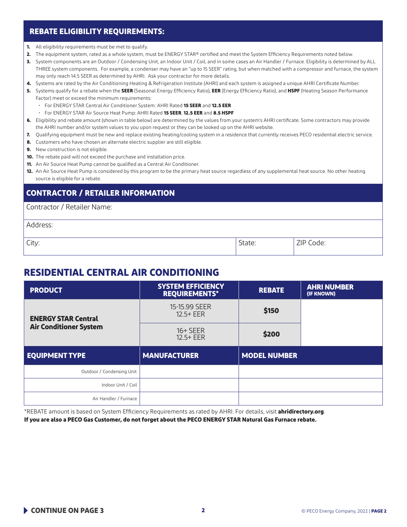#### **REBATE ELIGIBILITY REQUIREMENTS:**

- **1.** All eligibility requirements must be met to qualify.
- **2.** The equipment system, rated as a whole system, must be ENERGY STAR® certified and meet the System Efficiency Requirements noted below.
- **3.** System components are an Outdoor / Condensing Unit, an Indoor Unit / Coil, and in some cases an Air Handler / Furnace. Eligibility is determined by ALL THREE system components. For example, a condenser may have an "up to 15 SEER" rating, but when matched with a compressor and furnace, the system may only reach 14.5 SEER as determined by AHRI. Ask your contractor for more details.
- **4.** Systems are rated by the Air Conditioning Heating & Refrigeration Institute (AHRI) and each system is assigned a unique AHRI Certificate Number.
- **5.** Systems qualify for a rebate when the **SEER** (Seasonal Energy Efficiency Ratio), **EER** (Energy Efficiency Ratio), and **HSPF** (Heating Season Performance Factor) meet or exceed the minimum requirements:
	- For ENERGY STAR Central Air Conditioner System: AHRI Rated **15 SEER** and **12.5 EER**
	- For ENERGY STAR Air Source Heat Pump: AHRI Rated **15 SEER**, **12.5 EER** and **8.5 HSPF**
- **6.** Eligibility and rebate amount (shown in table below) are determined by the values from your system's AHRI certificate. Some contractors may provide the AHRI number and/or system values to you upon request or they can be looked up on the AHRI website.
- **7.** Qualifying equipment must be new and replace existing heating/cooling system in a residence that currently receives PECO residential electric service.
- **8.** Customers who have chosen an alternate electric supplier are still eligible.
- **9.** New construction is not eligible.
- **10.** The rebate paid will not exceed the purchase and installation price.
- **11.** An Air Source Heat Pump cannot be qualified as a Central Air Conditioner.
- **12.** An Air Source Heat Pump is considered by this program to be the primary heat source regardless of any supplemental heat source. No other heating source is eligible for a rebate.

#### **CONTRACTOR / RETAILER INFORMATION**

Contractor / Retailer Name:

| Address: |        |           |
|----------|--------|-----------|
| City:    | State: | ZIP Code: |

## **RESIDENTIAL CENTRAL AIR CONDITIONING**

| <b>PRODUCT</b>                | <b>SYSTEM EFFICIENCY</b><br><b>REQUIREMENTS*</b> | <b>REBATE</b>       | <b>AHRI NUMBER</b><br>(IF KNOWN) |
|-------------------------------|--------------------------------------------------|---------------------|----------------------------------|
| <b>ENERGY STAR Central</b>    | 15-15.99 SEER<br>$12.5 + EER$                    | \$150               |                                  |
| <b>Air Conditioner System</b> | $16+SEER$<br>$12.5 + EER$                        | \$200               |                                  |
| <b>EQUIPMENT TYPE</b>         | <b>MANUFACTURER</b>                              | <b>MODEL NUMBER</b> |                                  |
| Outdoor / Condensing Unit     |                                                  |                     |                                  |
| Indoor Unit / Coil            |                                                  |                     |                                  |
| Air Handler / Furnace         |                                                  |                     |                                  |

\*REBATE amount is based on System Efficiency Requirements as rated by AHRI. For details, visit **ahridirectory.org**.

**If you are also a PECO Gas Customer, do not forget about the PECO ENERGY STAR Natural Gas Furnace rebate.**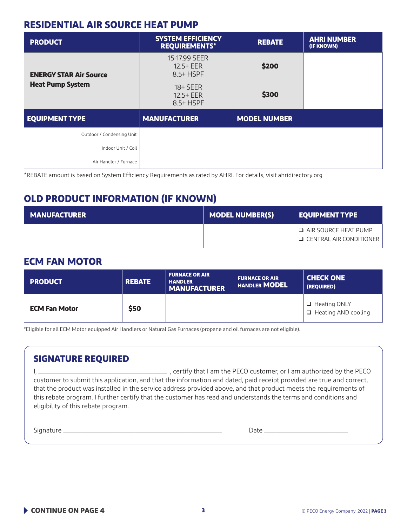## **RESIDENTIAL AIR SOURCE HEAT PUMP**

| <b>PRODUCT</b>                | <b>SYSTEM EFFICIENCY</b><br><b>REQUIREMENTS*</b> | <b>REBATE</b>       | <b>AHRI NUMBER</b><br>(IF KNOWN) |
|-------------------------------|--------------------------------------------------|---------------------|----------------------------------|
| <b>ENERGY STAR Air Source</b> | 15-17.99 SEER<br>$12.5 + EER$<br>8.5+ HSPF       | \$200               |                                  |
| <b>Heat Pump System</b>       | $18 + SEER$<br>$12.5 + EER$<br>8.5+ HSPF         | \$300               |                                  |
| <b>EQUIPMENT TYPE</b>         | <b>MANUFACTURER</b>                              | <b>MODEL NUMBER</b> |                                  |
| Outdoor / Condensing Unit     |                                                  |                     |                                  |
| Indoor Unit / Coil            |                                                  |                     |                                  |
| Air Handler / Furnace         |                                                  |                     |                                  |

\*REBATE amount is based on System Efficiency Requirements as rated by AHRI. For details, visit ahridirectory.org

# **OLD PRODUCT INFORMATION (IF KNOWN)**

| <b>MANUFACTURER</b> | <b>MODEL NUMBER(S)</b> | <b>EQUIPMENT TYPE</b>                                         |
|---------------------|------------------------|---------------------------------------------------------------|
|                     |                        | $\Box$ AIR SOURCE HEAT PUMP<br>$\Box$ CENTRAL AIR CONDITIONER |

## **ECM FAN MOTOR**

| <b>PRODUCT</b>       | <b>REBATE</b> | <b>FURNACE OR AIR</b><br><b>HANDLER</b><br><b>MANUFACTURER</b> | <b>FURNACE OR AIR</b><br><b>HANDLER MODEL</b> | <b>CHECK ONE</b><br>(REQUIRED)                    |
|----------------------|---------------|----------------------------------------------------------------|-----------------------------------------------|---------------------------------------------------|
| <b>ECM Fan Motor</b> | \$50          |                                                                |                                               | $\Box$ Heating ONLY<br>$\Box$ Heating AND cooling |

\*Eligible for all ECM Motor equipped Air Handlers or Natural Gas Furnaces (propane and oil furnaces are not eligible).

## **SIGNATURE REQUIRED**

I, \_\_\_\_\_\_\_\_\_\_\_\_\_\_\_\_\_\_\_\_\_\_\_\_\_\_\_\_\_\_\_\_\_\_\_\_\_\_\_\_\_\_\_ , certify that I am the PECO customer, or I am authorized by the PECO customer to submit this application, and that the information and dated, paid receipt provided are true and correct, that the product was installed in the service address provided above, and that product meets the requirements of this rebate program. I further certify that the customer has read and understands the terms and conditions and eligibility of this rebate program.

Signature \_\_\_\_\_\_\_\_\_\_\_\_\_\_\_\_\_\_\_\_\_\_\_\_\_\_\_\_\_\_\_\_\_\_\_\_\_\_\_\_\_\_\_\_\_\_\_\_\_\_\_\_\_ Date \_\_\_\_\_\_\_\_\_\_\_\_\_\_\_\_\_\_\_\_\_\_\_\_\_\_\_\_